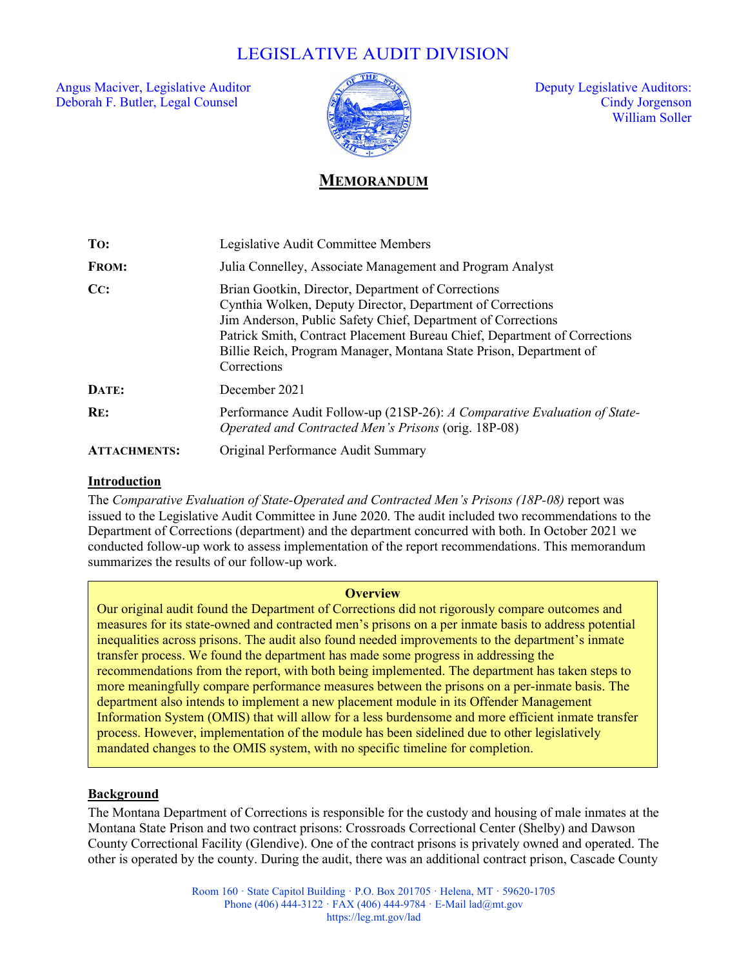# LEGISLATIVE AUDIT DIVISION

Angus Maciver, Legislative Auditor  $\sqrt{2}$  and  $\sqrt{2}$  Deputy Legislative Auditors: Deborah F. Butler, Legal Counsel Cindy Jorgenson



William Soller

# **MEMORANDUM**

| To:                 | Legislative Audit Committee Members                                                                                                                                                                                                                                                                                                                |
|---------------------|----------------------------------------------------------------------------------------------------------------------------------------------------------------------------------------------------------------------------------------------------------------------------------------------------------------------------------------------------|
| <b>FROM:</b>        | Julia Connelley, Associate Management and Program Analyst                                                                                                                                                                                                                                                                                          |
| CC:                 | Brian Gootkin, Director, Department of Corrections<br>Cynthia Wolken, Deputy Director, Department of Corrections<br>Jim Anderson, Public Safety Chief, Department of Corrections<br>Patrick Smith, Contract Placement Bureau Chief, Department of Corrections<br>Billie Reich, Program Manager, Montana State Prison, Department of<br>Corrections |
| DATE:               | December 2021                                                                                                                                                                                                                                                                                                                                      |
| RE:                 | Performance Audit Follow-up (21SP-26): A Comparative Evaluation of State-<br>Operated and Contracted Men's Prisons (orig. 18P-08)                                                                                                                                                                                                                  |
| <b>ATTACHMENTS:</b> | Original Performance Audit Summary                                                                                                                                                                                                                                                                                                                 |

#### **Introduction**

The *Comparative Evaluation of State-Operated and Contracted Men's Prisons (18P-08)* report was issued to the Legislative Audit Committee in June 2020. The audit included two recommendations to the Department of Corrections (department) and the department concurred with both. In October 2021 we conducted follow-up work to assess implementation of the report recommendations. This memorandum summarizes the results of our follow-up work.

#### **Overview**

Our original audit found the Department of Corrections did not rigorously compare outcomes and measures for its state-owned and contracted men's prisons on a per inmate basis to address potential inequalities across prisons. The audit also found needed improvements to the department's inmate transfer process. We found the department has made some progress in addressing the recommendations from the report, with both being implemented. The department has taken steps to more meaningfully compare performance measures between the prisons on a per-inmate basis. The department also intends to implement a new placement module in its Offender Management Information System (OMIS) that will allow for a less burdensome and more efficient inmate transfer process. However, implementation of the module has been sidelined due to other legislatively mandated changes to the OMIS system, with no specific timeline for completion.

#### **Background**

The Montana Department of Corrections is responsible for the custody and housing of male inmates at the Montana State Prison and two contract prisons: Crossroads Correctional Center (Shelby) and Dawson County Correctional Facility (Glendive). One of the contract prisons is privately owned and operated. The other is operated by the county. During the audit, there was an additional contract prison, Cascade County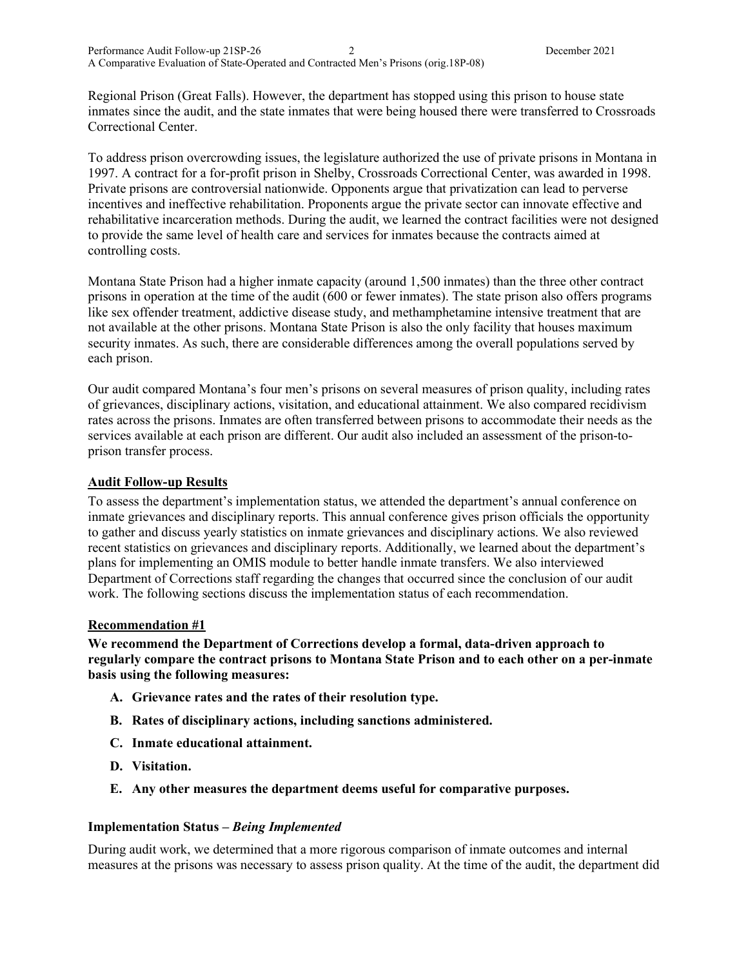Regional Prison (Great Falls). However, the department has stopped using this prison to house state inmates since the audit, and the state inmates that were being housed there were transferred to Crossroads Correctional Center.

To address prison overcrowding issues, the legislature authorized the use of private prisons in Montana in 1997. A contract for a for-profit prison in Shelby, Crossroads Correctional Center, was awarded in 1998. Private prisons are controversial nationwide. Opponents argue that privatization can lead to perverse incentives and ineffective rehabilitation. Proponents argue the private sector can innovate effective and rehabilitative incarceration methods. During the audit, we learned the contract facilities were not designed to provide the same level of health care and services for inmates because the contracts aimed at controlling costs.

Montana State Prison had a higher inmate capacity (around 1,500 inmates) than the three other contract prisons in operation at the time of the audit (600 or fewer inmates). The state prison also offers programs like sex offender treatment, addictive disease study, and methamphetamine intensive treatment that are not available at the other prisons. Montana State Prison is also the only facility that houses maximum security inmates. As such, there are considerable differences among the overall populations served by each prison.

Our audit compared Montana's four men's prisons on several measures of prison quality, including rates of grievances, disciplinary actions, visitation, and educational attainment. We also compared recidivism rates across the prisons. Inmates are often transferred between prisons to accommodate their needs as the services available at each prison are different. Our audit also included an assessment of the prison-toprison transfer process.

#### **Audit Follow-up Results**

To assess the department's implementation status, we attended the department's annual conference on inmate grievances and disciplinary reports. This annual conference gives prison officials the opportunity to gather and discuss yearly statistics on inmate grievances and disciplinary actions. We also reviewed recent statistics on grievances and disciplinary reports. Additionally, we learned about the department's plans for implementing an OMIS module to better handle inmate transfers. We also interviewed Department of Corrections staff regarding the changes that occurred since the conclusion of our audit work. The following sections discuss the implementation status of each recommendation.

#### **Recommendation #1**

**We recommend the Department of Corrections develop a formal, data-driven approach to regularly compare the contract prisons to Montana State Prison and to each other on a per-inmate basis using the following measures:**

- **A. Grievance rates and the rates of their resolution type.**
- **B. Rates of disciplinary actions, including sanctions administered.**
- **C. Inmate educational attainment.**
- **D. Visitation.**
- **E. Any other measures the department deems useful for comparative purposes.**

#### **Implementation Status –** *Being Implemented*

During audit work, we determined that a more rigorous comparison of inmate outcomes and internal measures at the prisons was necessary to assess prison quality. At the time of the audit, the department did